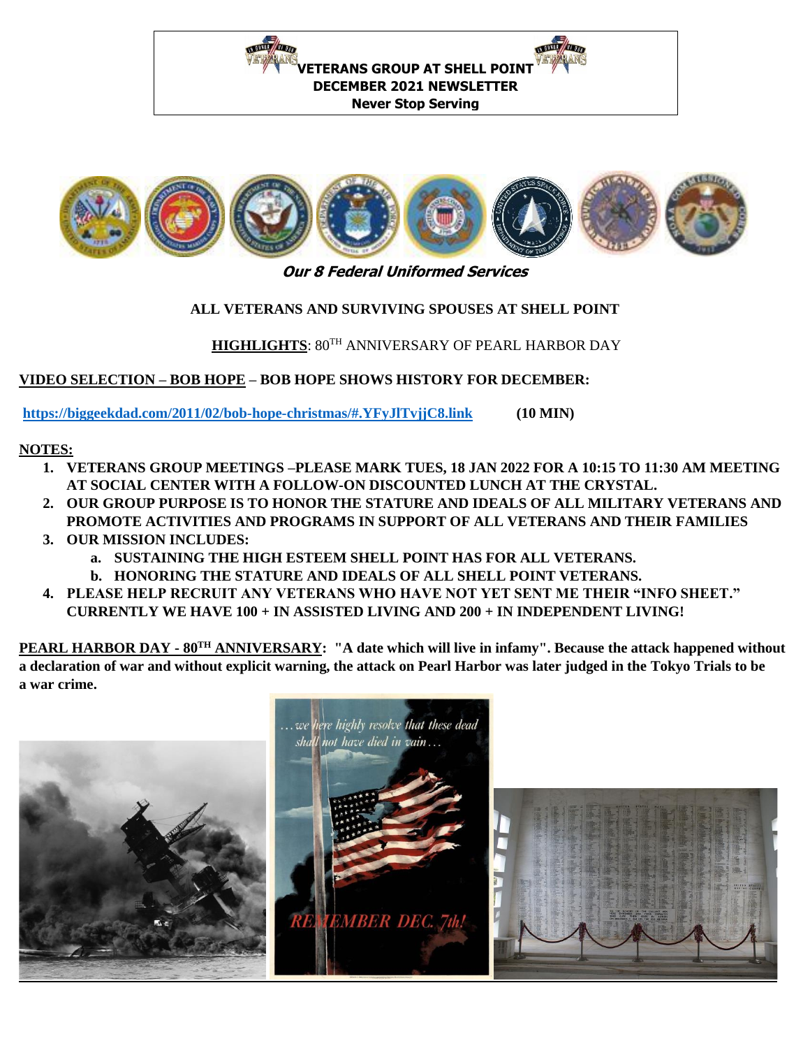**THE LEWIS CO. 1889 ETERANS GROUP AT SHELL POIN DECEMBER 2021 NEWSLETTER Never Stop Serving** 



# **Our 8 Federal Uniformed Services**

# **ALL VETERANS AND SURVIVING SPOUSES AT SHELL POINT**

**HIGHLIGHTS**: 80TH ANNIVERSARY OF PEARL HARBOR DAY

## **VIDEO SELECTION – BOB HOPE – BOB HOPE SHOWS HISTORY FOR DECEMBER:**

**<https://biggeekdad.com/2011/02/bob-hope-christmas/#.YFyJlTvjjC8.link>(10 MIN)** 

# **NOTES:**

- **1. VETERANS GROUP MEETINGS –PLEASE MARK TUES, 18 JAN 2022 FOR A 10:15 TO 11:30 AM MEETING AT SOCIAL CENTER WITH A FOLLOW-ON DISCOUNTED LUNCH AT THE CRYSTAL.**
- **2. OUR GROUP PURPOSE IS TO HONOR THE STATURE AND IDEALS OF ALL MILITARY VETERANS AND PROMOTE ACTIVITIES AND PROGRAMS IN SUPPORT OF ALL VETERANS AND THEIR FAMILIES**
- **3. OUR MISSION INCLUDES:** 
	- **a. SUSTAINING THE HIGH ESTEEM SHELL POINT HAS FOR ALL VETERANS.**
	- **b. HONORING THE STATURE AND IDEALS OF ALL SHELL POINT VETERANS.**
- **4. PLEASE HELP RECRUIT ANY VETERANS WHO HAVE NOT YET SENT ME THEIR "INFO SHEET." CURRENTLY WE HAVE 100 + IN ASSISTED LIVING AND 200 + IN INDEPENDENT LIVING!**

**PEARL HARBOR DAY - 80TH ANNIVERSARY: "A date which will live in infamy". Because the attack happened without a declaration of war and without explicit warning, the attack on Pearl Harbor was later judged in the Tokyo Trials to be a war crime.**